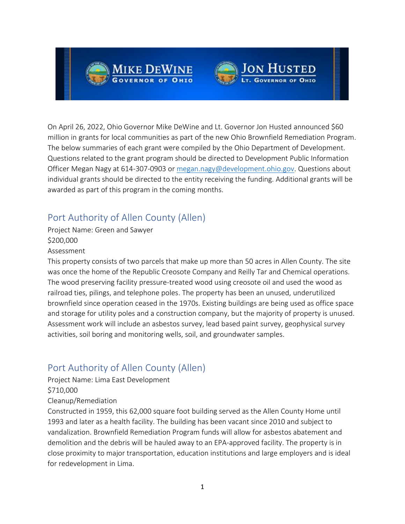



On April 26, 2022, Ohio Governor Mike DeWine and Lt. Governor Jon Husted announced \$60 million in grants for local communities as part of the new Ohio Brownfield Remediation Program. The below summaries of each grant were compiled by the Ohio Department of Development. Questions related to the grant program should be directed to Development Public Information Officer Megan Nagy at 614-307-0903 or [megan.nagy@development.ohio.gov.](mailto:megan.nagy@development.ohio.gov) Questions about individual grants should be directed to the entity receiving the funding. Additional grants will be awarded as part of this program in the coming months.

#### Port Authority of Allen County (Allen)

Project Name: Green and Sawyer

\$200,000

#### Assessment

This property consists of two parcels that make up more than 50 acres in Allen County. The site was once the home of the Republic Creosote Company and Reilly Tar and Chemical operations. The wood preserving facility pressure-treated wood using creosote oil and used the wood as railroad ties, pilings, and telephone poles. The property has been an unused, underutilized brownfield since operation ceased in the 1970s. Existing buildings are being used as office space and storage for utility poles and a construction company, but the majority of property is unused. Assessment work will include an asbestos survey, lead based paint survey, geophysical survey activities, soil boring and monitoring wells, soil, and groundwater samples.

#### Port Authority of Allen County (Allen)

Project Name: Lima East Development

\$710,000

Cleanup/Remediation

Constructed in 1959, this 62,000 square foot building served as the Allen County Home until 1993 and later as a health facility. The building has been vacant since 2010 and subject to vandalization. Brownfield Remediation Program funds will allow for asbestos abatement and demolition and the debris will be hauled away to an EPA-approved facility. The property is in close proximity to major transportation, education institutions and large employers and is ideal for redevelopment in Lima.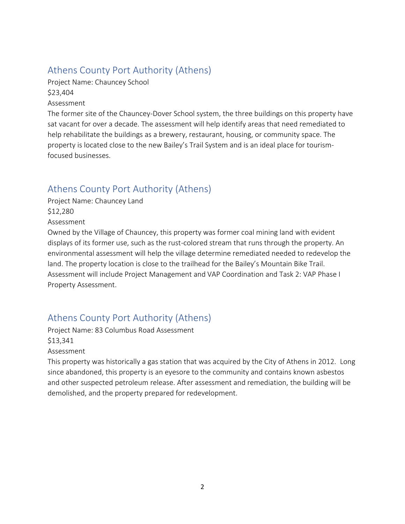## Athens County Port Authority (Athens)

Project Name: Chauncey School \$23,404 Assessment

The former site of the Chauncey-Dover School system, the three buildings on this property have sat vacant for over a decade. The assessment will help identify areas that need remediated to help rehabilitate the buildings as a brewery, restaurant, housing, or community space. The property is located close to the new Bailey's Trail System and is an ideal place for tourismfocused businesses.

## Athens County Port Authority (Athens)

Project Name: Chauncey Land \$12,280 Assessment

Owned by the Village of Chauncey, this property was former coal mining land with evident displays of its former use, such as the rust-colored stream that runs through the property. An environmental assessment will help the village determine remediated needed to redevelop the land. The property location is close to the trailhead for the Bailey's Mountain Bike Trail. Assessment will include Project Management and VAP Coordination and Task 2: VAP Phase I Property Assessment.

# Athens County Port Authority (Athens)

Project Name: 83 Columbus Road Assessment

\$13,341

Assessment

This property was historically a gas station that was acquired by the City of Athens in 2012. Long since abandoned, this property is an eyesore to the community and contains known asbestos and other suspected petroleum release. After assessment and remediation, the building will be demolished, and the property prepared for redevelopment.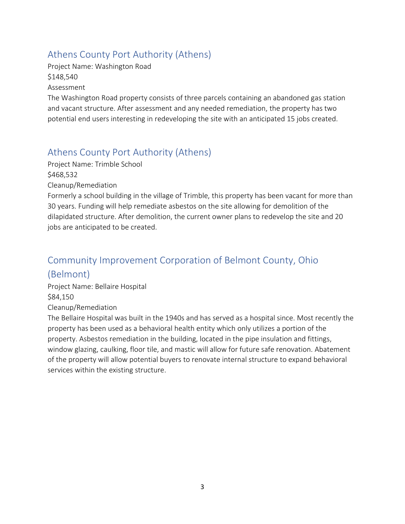### Athens County Port Authority (Athens)

Project Name: Washington Road \$148,540

Assessment

The Washington Road property consists of three parcels containing an abandoned gas station and vacant structure. After assessment and any needed remediation, the property has two potential end users interesting in redeveloping the site with an anticipated 15 jobs created.

#### Athens County Port Authority (Athens)

Project Name: Trimble School \$468,532

Cleanup/Remediation

Formerly a school building in the village of Trimble, this property has been vacant for more than 30 years. Funding will help remediate asbestos on the site allowing for demolition of the dilapidated structure. After demolition, the current owner plans to redevelop the site and 20 jobs are anticipated to be created.

# Community Improvement Corporation of Belmont County, Ohio

#### (Belmont)

Project Name: Bellaire Hospital \$84,150 Cleanup/Remediation

The Bellaire Hospital was built in the 1940s and has served as a hospital since. Most recently the property has been used as a behavioral health entity which only utilizes a portion of the property. Asbestos remediation in the building, located in the pipe insulation and fittings, window glazing, caulking, floor tile, and mastic will allow for future safe renovation. Abatement of the property will allow potential buyers to renovate internal structure to expand behavioral services within the existing structure.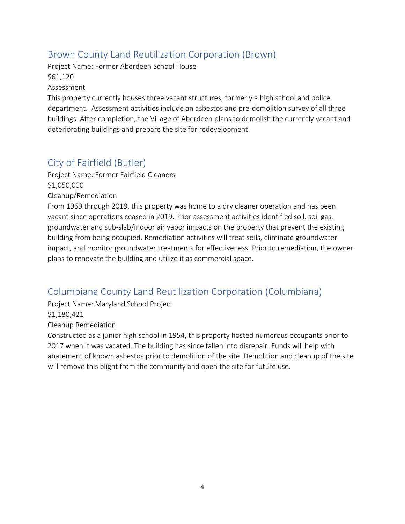#### Brown County Land Reutilization Corporation (Brown)

Project Name: Former Aberdeen School House \$61,120

Assessment

This property currently houses three vacant structures, formerly a high school and police department. Assessment activities include an asbestos and pre-demolition survey of all three buildings. After completion, the Village of Aberdeen plans to demolish the currently vacant and deteriorating buildings and prepare the site for redevelopment.

## City of Fairfield (Butler)

Project Name: Former Fairfield Cleaners

\$1,050,000

Cleanup/Remediation

From 1969 through 2019, this property was home to a dry cleaner operation and has been vacant since operations ceased in 2019. Prior assessment activities identified soil, soil gas, groundwater and sub-slab/indoor air vapor impacts on the property that prevent the existing building from being occupied. Remediation activities will treat soils, eliminate groundwater impact, and monitor groundwater treatments for effectiveness. Prior to remediation, the owner plans to renovate the building and utilize it as commercial space.

## Columbiana County Land Reutilization Corporation (Columbiana)

Project Name: Maryland School Project

\$1,180,421

Cleanup Remediation

Constructed as a junior high school in 1954, this property hosted numerous occupants prior to 2017 when it was vacated. The building has since fallen into disrepair. Funds will help with abatement of known asbestos prior to demolition of the site. Demolition and cleanup of the site will remove this blight from the community and open the site for future use.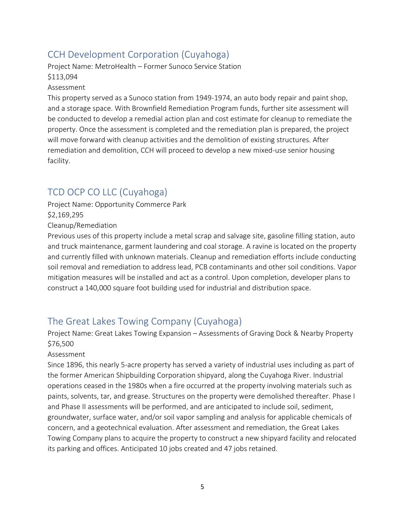## CCH Development Corporation (Cuyahoga)

Project Name: MetroHealth – Former Sunoco Service Station \$113,094 Assessment

This property served as a Sunoco station from 1949-1974, an auto body repair and paint shop, and a storage space. With Brownfield Remediation Program funds, further site assessment will be conducted to develop a remedial action plan and cost estimate for cleanup to remediate the property. Once the assessment is completed and the remediation plan is prepared, the project will move forward with cleanup activities and the demolition of existing structures. After remediation and demolition, CCH will proceed to develop a new mixed-use senior housing facility.

## TCD OCP CO LLC (Cuyahoga)

Project Name: Opportunity Commerce Park \$2,169,295

Cleanup/Remediation

Previous uses of this property include a metal scrap and salvage site, gasoline filling station, auto and truck maintenance, garment laundering and coal storage. A ravine is located on the property and currently filled with unknown materials. Cleanup and remediation efforts include conducting soil removal and remediation to address lead, PCB contaminants and other soil conditions. Vapor mitigation measures will be installed and act as a control. Upon completion, developer plans to construct a 140,000 square foot building used for industrial and distribution space.

## The Great Lakes Towing Company (Cuyahoga)

Project Name: Great Lakes Towing Expansion – Assessments of Graving Dock & Nearby Property \$76,500

#### Assessment

Since 1896, this nearly 5-acre property has served a variety of industrial uses including as part of the former American Shipbuilding Corporation shipyard, along the Cuyahoga River. Industrial operations ceased in the 1980s when a fire occurred at the property involving materials such as paints, solvents, tar, and grease. Structures on the property were demolished thereafter. Phase I and Phase II assessments will be performed, and are anticipated to include soil, sediment, groundwater, surface water, and/or soil vapor sampling and analysis for applicable chemicals of concern, and a geotechnical evaluation. After assessment and remediation, the Great Lakes Towing Company plans to acquire the property to construct a new shipyard facility and relocated its parking and offices. Anticipated 10 jobs created and 47 jobs retained.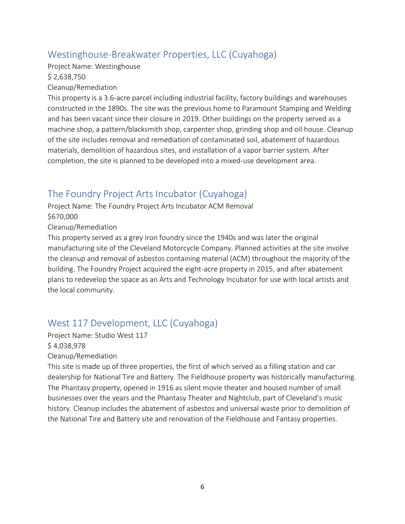#### Westinghouse-Breakwater Properties, LLC (Cuyahoga)

Project Name: Westinghouse

\$ 2,638,750

Cleanup/Remediation

This property is a 3.6-acre parcel including industrial facility, factory buildings and warehouses constructed in the 1890s. The site was the previous home to Paramount Stamping and Welding and has been vacant since their closure in 2019. Other buildings on the property served as a machine shop, a pattern/blacksmith shop, carpenter shop, grinding shop and oil house. Cleanup of the site includes removal and remediation of contaminated soil, abatement of hazardous materials, demolition of hazardous sites, and installation of a vapor barrier system. After completion, the site is planned to be developed into a mixed-use development area.

## The Foundry Project Arts Incubator (Cuyahoga)

Project Name: The Foundry Project Arts Incubator ACM Removal \$670,000

Cleanup/Remediation

This property served as a grey iron foundry since the 1940s and was later the original manufacturing site of the Cleveland Motorcycle Company. Planned activities at the site involve the cleanup and removal of asbestos containing material (ACM) throughout the majority of the building. The Foundry Project acquired the eight-acre property in 2015, and after abatement plans to redevelop the space as an Arts and Technology Incubator for use with local artists and the local community.

# West 117 Development, LLC (Cuyahoga)

Project Name: Studio West 117 \$ 4,038,978 Cleanup/Remediation

This site is made up of three properties, the first of which served as a filling station and car dealership for National Tire and Battery. The Fieldhouse property was historically manufacturing. The Phantasy property, opened in 1916 as silent movie theater and housed number of small businesses over the years and the Phantasy Theater and Nightclub, part of Cleveland's music history. Cleanup includes the abatement of asbestos and universal waste prior to demolition of the National Tire and Battery site and renovation of the Fieldhouse and Fantasy properties.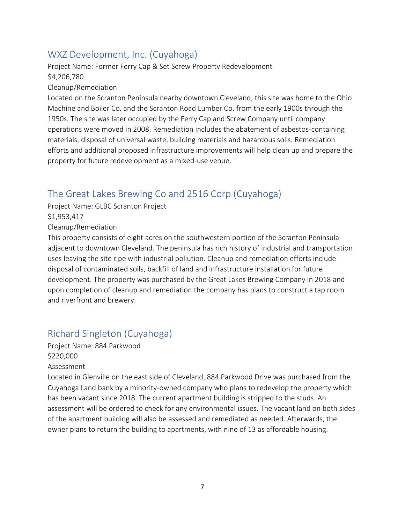#### WXZ Development, Inc. (Cuyahoga)

Project Name: Former Ferry Cap & Set Screw Property Redevelopment \$4,206,780

#### Cleanup/Remediation

Located on the Scranton Peninsula nearby downtown Cleveland, this site was home to the Ohio Machine and Boiler Co. and the Scranton Road Lumber Co. from the early 1900s through the 1950s. The site was later occupied by the Ferry Cap and Screw Company until company operations were moved in 2008. Remediation includes the abatement of asbestos-containing materials, disposal of universal waste, building materials and hazardous soils. Remediation efforts and additional proposed infrastructure improvements will help clean up and prepare the property for future redevelopment as a mixed-use venue.

## The Great Lakes Brewing Co and 2516 Corp (Cuyahoga)

Project Name: GLBC Scranton Project

\$1,953,417

Cleanup/Remediation

This property consists of eight acres on the southwestern portion of the Scranton Peninsula adjacent to downtown Cleveland. The peninsula has rich history of industrial and transportation uses leaving the site ripe with industrial pollution. Cleanup and remediation efforts include disposal of contaminated soils, backfill of land and infrastructure installation for future development. The property was purchased by the Great Lakes Brewing Company in 2018 and upon completion of cleanup and remediation the company has plans to construct a tap room and riverfront and brewery.

## Richard Singleton (Cuyahoga)

Project Name: 884 Parkwood \$220,000 Assessment

Located in Glenville on the east side of Cleveland, 884 Parkwood Drive was purchased from the Cuyahoga Land bank by a minority-owned company who plans to redevelop the property which has been vacant since 2018. The current apartment building is stripped to the studs. An assessment will be ordered to check for any environmental issues. The vacant land on both sides of the apartment building will also be assessed and remediated as needed. Afterwards, the owner plans to return the building to apartments, with nine of 13 as affordable housing.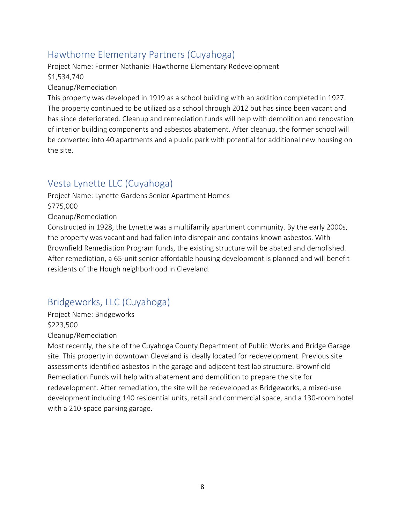### Hawthorne Elementary Partners (Cuyahoga)

Project Name: Former Nathaniel Hawthorne Elementary Redevelopment \$1,534,740

#### Cleanup/Remediation

This property was developed in 1919 as a school building with an addition completed in 1927. The property continued to be utilized as a school through 2012 but has since been vacant and has since deteriorated. Cleanup and remediation funds will help with demolition and renovation of interior building components and asbestos abatement. After cleanup, the former school will be converted into 40 apartments and a public park with potential for additional new housing on the site.

## Vesta Lynette LLC (Cuyahoga)

Project Name: Lynette Gardens Senior Apartment Homes

#### \$775,000

Cleanup/Remediation

Constructed in 1928, the Lynette was a multifamily apartment community. By the early 2000s, the property was vacant and had fallen into disrepair and contains known asbestos. With Brownfield Remediation Program funds, the existing structure will be abated and demolished. After remediation, a 65-unit senior affordable housing development is planned and will benefit residents of the Hough neighborhood in Cleveland.

# Bridgeworks, LLC (Cuyahoga)

Project Name: Bridgeworks \$223,500

Cleanup/Remediation

Most recently, the site of the Cuyahoga County Department of Public Works and Bridge Garage site. This property in downtown Cleveland is ideally located for redevelopment. Previous site assessments identified asbestos in the garage and adjacent test lab structure. Brownfield Remediation Funds will help with abatement and demolition to prepare the site for redevelopment. After remediation, the site will be redeveloped as Bridgeworks, a mixed-use development including 140 residential units, retail and commercial space, and a 130-room hotel with a 210-space parking garage.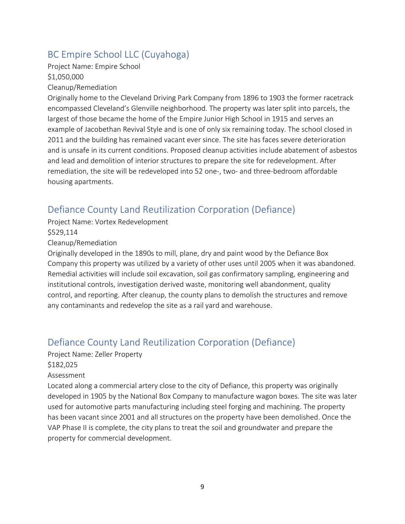## BC Empire School LLC (Cuyahoga)

Project Name: Empire School \$1,050,000

Cleanup/Remediation

Originally home to the Cleveland Driving Park Company from 1896 to 1903 the former racetrack encompassed Cleveland's Glenville neighborhood. The property was later split into parcels, the largest of those became the home of the Empire Junior High School in 1915 and serves an example of Jacobethan Revival Style and is one of only six remaining today. The school closed in 2011 and the building has remained vacant ever since. The site has faces severe deterioration and is unsafe in its current conditions. Proposed cleanup activities include abatement of asbestos and lead and demolition of interior structures to prepare the site for redevelopment. After remediation, the site will be redeveloped into 52 one-, two- and three-bedroom affordable housing apartments.

# Defiance County Land Reutilization Corporation (Defiance)

Project Name: Vortex Redevelopment

\$529,114

#### Cleanup/Remediation

Originally developed in the 1890s to mill, plane, dry and paint wood by the Defiance Box Company this property was utilized by a variety of other uses until 2005 when it was abandoned. Remedial activities will include soil excavation, soil gas confirmatory sampling, engineering and institutional controls, investigation derived waste, monitoring well abandonment, quality control, and reporting. After cleanup, the county plans to demolish the structures and remove any contaminants and redevelop the site as a rail yard and warehouse.

#### Defiance County Land Reutilization Corporation (Defiance)

Project Name: Zeller Property

\$182,025

#### Assessment

Located along a commercial artery close to the city of Defiance, this property was originally developed in 1905 by the National Box Company to manufacture wagon boxes. The site was later used for automotive parts manufacturing including steel forging and machining. The property has been vacant since 2001 and all structures on the property have been demolished. Once the VAP Phase II is complete, the city plans to treat the soil and groundwater and prepare the property for commercial development.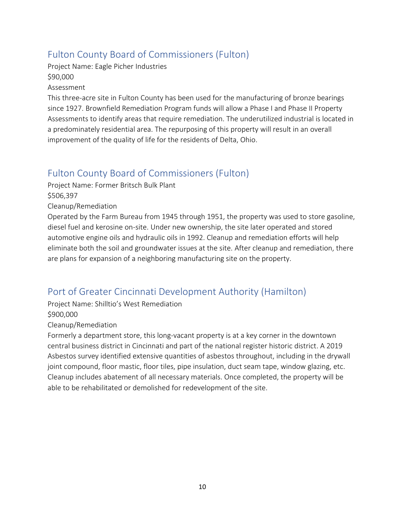## Fulton County Board of Commissioners (Fulton)

Project Name: Eagle Picher Industries

\$90,000

Assessment

This three-acre site in Fulton County has been used for the manufacturing of bronze bearings since 1927. Brownfield Remediation Program funds will allow a Phase I and Phase II Property Assessments to identify areas that require remediation. The underutilized industrial is located in a predominately residential area. The repurposing of this property will result in an overall improvement of the quality of life for the residents of Delta, Ohio.

#### Fulton County Board of Commissioners (Fulton)

Project Name: Former Britsch Bulk Plant

\$506,397

Cleanup/Remediation

Operated by the Farm Bureau from 1945 through 1951, the property was used to store gasoline, diesel fuel and kerosine on-site. Under new ownership, the site later operated and stored automotive engine oils and hydraulic oils in 1992. Cleanup and remediation efforts will help eliminate both the soil and groundwater issues at the site. After cleanup and remediation, there are plans for expansion of a neighboring manufacturing site on the property.

## Port of Greater Cincinnati Development Authority (Hamilton)

Project Name: Shilltio's West Remediation \$900,000

Cleanup/Remediation

Formerly a department store, this long-vacant property is at a key corner in the downtown central business district in Cincinnati and part of the national register historic district. A 2019 Asbestos survey identified extensive quantities of asbestos throughout, including in the drywall joint compound, floor mastic, floor tiles, pipe insulation, duct seam tape, window glazing, etc. Cleanup includes abatement of all necessary materials. Once completed, the property will be able to be rehabilitated or demolished for redevelopment of the site.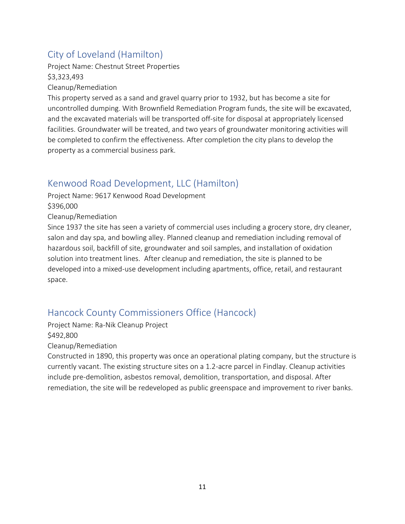### City of Loveland (Hamilton)

Project Name: Chestnut Street Properties \$3,323,493 Cleanup/Remediation

This property served as a sand and gravel quarry prior to 1932, but has become a site for uncontrolled dumping. With Brownfield Remediation Program funds, the site will be excavated, and the excavated materials will be transported off-site for disposal at appropriately licensed facilities. Groundwater will be treated, and two years of groundwater monitoring activities will be completed to confirm the effectiveness. After completion the city plans to develop the property as a commercial business park.

#### Kenwood Road Development, LLC (Hamilton)

Project Name: 9617 Kenwood Road Development

\$396,000

Cleanup/Remediation

Since 1937 the site has seen a variety of commercial uses including a grocery store, dry cleaner, salon and day spa, and bowling alley. Planned cleanup and remediation including removal of hazardous soil, backfill of site, groundwater and soil samples, and installation of oxidation solution into treatment lines. After cleanup and remediation, the site is planned to be developed into a mixed-use development including apartments, office, retail, and restaurant space.

#### Hancock County Commissioners Office (Hancock)

Project Name: Ra-Nik Cleanup Project \$492,800

Cleanup/Remediation

Constructed in 1890, this property was once an operational plating company, but the structure is currently vacant. The existing structure sites on a 1.2-acre parcel in Findlay. Cleanup activities include pre-demolition, asbestos removal, demolition, transportation, and disposal. After remediation, the site will be redeveloped as public greenspace and improvement to river banks.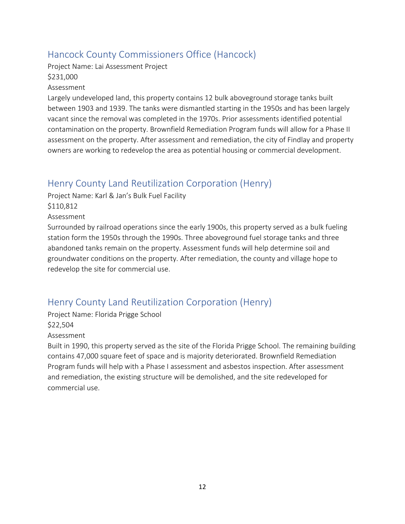#### Hancock County Commissioners Office (Hancock)

Project Name: Lai Assessment Project

\$231,000

Assessment

Largely undeveloped land, this property contains 12 bulk aboveground storage tanks built between 1903 and 1939. The tanks were dismantled starting in the 1950s and has been largely vacant since the removal was completed in the 1970s. Prior assessments identified potential contamination on the property. Brownfield Remediation Program funds will allow for a Phase II assessment on the property. After assessment and remediation, the city of Findlay and property owners are working to redevelop the area as potential housing or commercial development.

#### Henry County Land Reutilization Corporation (Henry)

Project Name: Karl & Jan's Bulk Fuel Facility

#### \$110,812

Assessment

Surrounded by railroad operations since the early 1900s, this property served as a bulk fueling station form the 1950s through the 1990s. Three aboveground fuel storage tanks and three abandoned tanks remain on the property. Assessment funds will help determine soil and groundwater conditions on the property. After remediation, the county and village hope to redevelop the site for commercial use.

# Henry County Land Reutilization Corporation (Henry)

Project Name: Florida Prigge School

\$22,504

Assessment

Built in 1990, this property served as the site of the Florida Prigge School. The remaining building contains 47,000 square feet of space and is majority deteriorated. Brownfield Remediation Program funds will help with a Phase I assessment and asbestos inspection. After assessment and remediation, the existing structure will be demolished, and the site redeveloped for commercial use.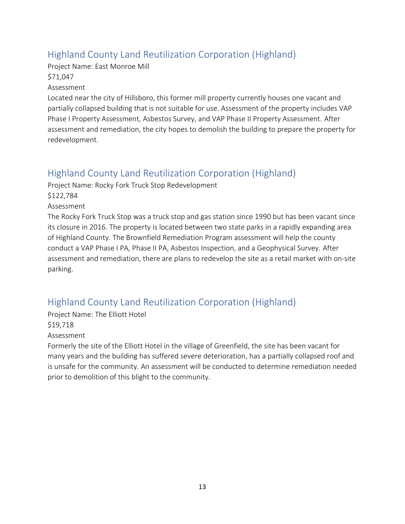## Highland County Land Reutilization Corporation (Highland)

Project Name: East Monroe Mill

\$71,047

Assessment

Located near the city of Hillsboro, this former mill property currently houses one vacant and partially collapsed building that is not suitable for use. Assessment of the property includes VAP Phase I Property Assessment, Asbestos Survey, and VAP Phase II Property Assessment. After assessment and remediation, the city hopes to demolish the building to prepare the property for redevelopment.

#### Highland County Land Reutilization Corporation (Highland)

Project Name: Rocky Fork Truck Stop Redevelopment

\$122,784

Assessment

The Rocky Fork Truck Stop was a truck stop and gas station since 1990 but has been vacant since its closure in 2016. The property is located between two state parks in a rapidly expanding area of Highland County. The Brownfield Remediation Program assessment will help the county conduct a VAP Phase I PA, Phase II PA, Asbestos Inspection, and a Geophysical Survey. After assessment and remediation, there are plans to redevelop the site as a retail market with on-site parking.

# Highland County Land Reutilization Corporation (Highland)

Project Name: The Elliott Hotel

\$19,718

Assessment

Formerly the site of the Elliott Hotel in the village of Greenfield, the site has been vacant for many years and the building has suffered severe deterioration, has a partially collapsed roof and is unsafe for the community. An assessment will be conducted to determine remediation needed prior to demolition of this blight to the community.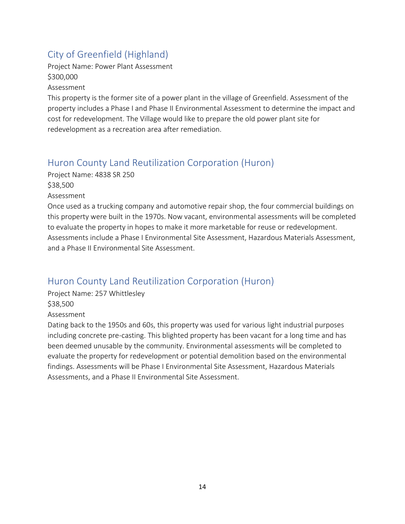## City of Greenfield (Highland)

Project Name: Power Plant Assessment \$300,000 Assessment

This property is the former site of a power plant in the village of Greenfield. Assessment of the property includes a Phase I and Phase II Environmental Assessment to determine the impact and cost for redevelopment. The Village would like to prepare the old power plant site for redevelopment as a recreation area after remediation.

## Huron County Land Reutilization Corporation (Huron)

Project Name: 4838 SR 250

\$38,500

Assessment

Once used as a trucking company and automotive repair shop, the four commercial buildings on this property were built in the 1970s. Now vacant, environmental assessments will be completed to evaluate the property in hopes to make it more marketable for reuse or redevelopment. Assessments include a Phase I Environmental Site Assessment, Hazardous Materials Assessment, and a Phase II Environmental Site Assessment.

## Huron County Land Reutilization Corporation (Huron)

Project Name: 257 Whittlesley

\$38,500

Assessment

Dating back to the 1950s and 60s, this property was used for various light industrial purposes including concrete pre-casting. This blighted property has been vacant for a long time and has been deemed unusable by the community. Environmental assessments will be completed to evaluate the property for redevelopment or potential demolition based on the environmental findings. Assessments will be Phase I Environmental Site Assessment, Hazardous Materials Assessments, and a Phase II Environmental Site Assessment.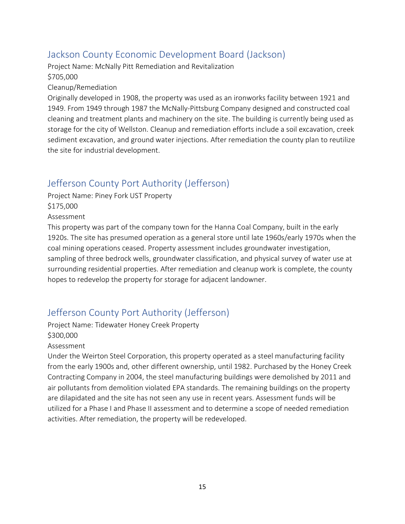#### Jackson County Economic Development Board (Jackson)

Project Name: McNally Pitt Remediation and Revitalization \$705,000

#### Cleanup/Remediation

Originally developed in 1908, the property was used as an ironworks facility between 1921 and 1949. From 1949 through 1987 the McNally-Pittsburg Company designed and constructed coal cleaning and treatment plants and machinery on the site. The building is currently being used as storage for the city of Wellston. Cleanup and remediation efforts include a soil excavation, creek sediment excavation, and ground water injections. After remediation the county plan to reutilize the site for industrial development.

#### Jefferson County Port Authority (Jefferson)

Project Name: Piney Fork UST Property

#### \$175,000

Assessment

This property was part of the company town for the Hanna Coal Company, built in the early 1920s. The site has presumed operation as a general store until late 1960s/early 1970s when the coal mining operations ceased. Property assessment includes groundwater investigation, sampling of three bedrock wells, groundwater classification, and physical survey of water use at surrounding residential properties. After remediation and cleanup work is complete, the county hopes to redevelop the property for storage for adjacent landowner.

# Jefferson County Port Authority (Jefferson)

Project Name: Tidewater Honey Creek Property \$300,000

#### Assessment

Under the Weirton Steel Corporation, this property operated as a steel manufacturing facility from the early 1900s and, other different ownership, until 1982. Purchased by the Honey Creek Contracting Company in 2004, the steel manufacturing buildings were demolished by 2011 and air pollutants from demolition violated EPA standards. The remaining buildings on the property are dilapidated and the site has not seen any use in recent years. Assessment funds will be utilized for a Phase I and Phase II assessment and to determine a scope of needed remediation activities. After remediation, the property will be redeveloped.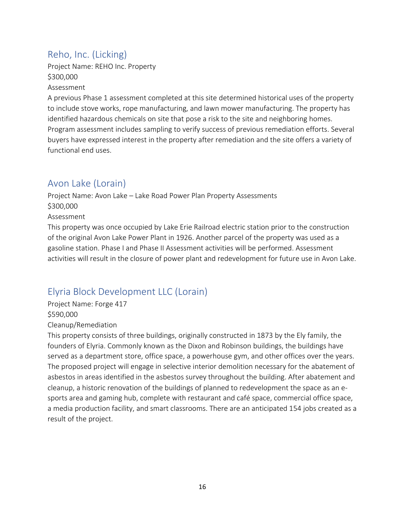## Reho, Inc. (Licking)

Project Name: REHO Inc. Property \$300,000 Assessment

A previous Phase 1 assessment completed at this site determined historical uses of the property to include stove works, rope manufacturing, and lawn mower manufacturing. The property has identified hazardous chemicals on site that pose a risk to the site and neighboring homes. Program assessment includes sampling to verify success of previous remediation efforts. Several buyers have expressed interest in the property after remediation and the site offers a variety of functional end uses.

## Avon Lake (Lorain)

Project Name: Avon Lake – Lake Road Power Plan Property Assessments \$300,000

#### Assessment

This property was once occupied by Lake Erie Railroad electric station prior to the construction of the original Avon Lake Power Plant in 1926. Another parcel of the property was used as a gasoline station. Phase I and Phase II Assessment activities will be performed. Assessment activities will result in the closure of power plant and redevelopment for future use in Avon Lake.

## Elyria Block Development LLC (Lorain)

Project Name: Forge 417 \$590,000

Cleanup/Remediation

This property consists of three buildings, originally constructed in 1873 by the Ely family, the founders of Elyria. Commonly known as the Dixon and Robinson buildings, the buildings have served as a department store, office space, a powerhouse gym, and other offices over the years. The proposed project will engage in selective interior demolition necessary for the abatement of asbestos in areas identified in the asbestos survey throughout the building. After abatement and cleanup, a historic renovation of the buildings of planned to redevelopment the space as an esports area and gaming hub, complete with restaurant and café space, commercial office space, a media production facility, and smart classrooms. There are an anticipated 154 jobs created as a result of the project.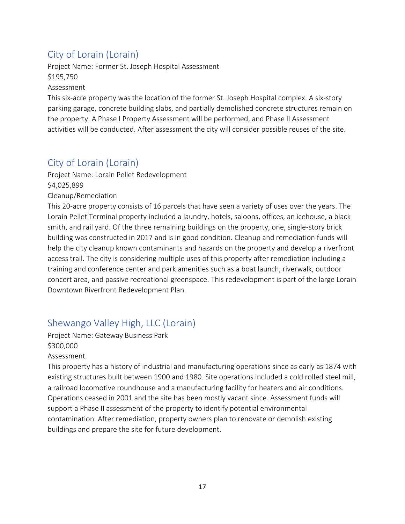### City of Lorain (Lorain)

Project Name: Former St. Joseph Hospital Assessment \$195,750 Assessment

This six-acre property was the location of the former St. Joseph Hospital complex. A six-story parking garage, concrete building slabs, and partially demolished concrete structures remain on the property. A Phase I Property Assessment will be performed, and Phase II Assessment activities will be conducted. After assessment the city will consider possible reuses of the site.

#### City of Lorain (Lorain)

Project Name: Lorain Pellet Redevelopment

\$4,025,899

Cleanup/Remediation

This 20-acre property consists of 16 parcels that have seen a variety of uses over the years. The Lorain Pellet Terminal property included a laundry, hotels, saloons, offices, an icehouse, a black smith, and rail yard. Of the three remaining buildings on the property, one, single-story brick building was constructed in 2017 and is in good condition. Cleanup and remediation funds will help the city cleanup known contaminants and hazards on the property and develop a riverfront access trail. The city is considering multiple uses of this property after remediation including a training and conference center and park amenities such as a boat launch, riverwalk, outdoor concert area, and passive recreational greenspace. This redevelopment is part of the large Lorain Downtown Riverfront Redevelopment Plan.

# Shewango Valley High, LLC (Lorain)

Project Name: Gateway Business Park \$300,000

#### Assessment

This property has a history of industrial and manufacturing operations since as early as 1874 with existing structures built between 1900 and 1980. Site operations included a cold rolled steel mill, a railroad locomotive roundhouse and a manufacturing facility for heaters and air conditions. Operations ceased in 2001 and the site has been mostly vacant since. Assessment funds will support a Phase II assessment of the property to identify potential environmental contamination. After remediation, property owners plan to renovate or demolish existing buildings and prepare the site for future development.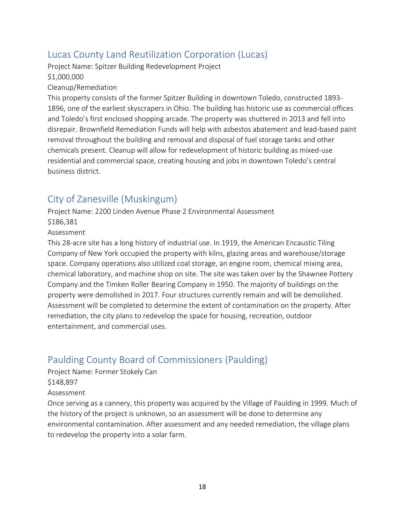#### Lucas County Land Reutilization Corporation (Lucas)

Project Name: Spitzer Building Redevelopment Project \$1,000,000

#### Cleanup/Remediation

This property consists of the former Spitzer Building in downtown Toledo, constructed 1893- 1896, one of the earliest skyscrapers in Ohio. The building has historic use as commercial offices and Toledo's first enclosed shopping arcade. The property was shuttered in 2013 and fell into disrepair. Brownfield Remediation Funds will help with asbestos abatement and lead-based paint removal throughout the building and removal and disposal of fuel storage tanks and other chemicals present. Cleanup will allow for redevelopment of historic building as mixed-use residential and commercial space, creating housing and jobs in downtown Toledo's central business district.

#### City of Zanesville (Muskingum)

Project Name: 2200 Linden Avenue Phase 2 Environmental Assessment \$186,381

#### Assessment

This 28-acre site has a long history of industrial use. In 1919, the American Encaustic Tiling Company of New York occupied the property with kilns, glazing areas and warehouse/storage space. Company operations also utilized coal storage, an engine room, chemical mixing area, chemical laboratory, and machine shop on site. The site was taken over by the Shawnee Pottery Company and the Timken Roller Bearing Company in 1950. The majority of buildings on the property were demolished in 2017. Four structures currently remain and will be demolished. Assessment will be completed to determine the extent of contamination on the property. After remediation, the city plans to redevelop the space for housing, recreation, outdoor entertainment, and commercial uses.

#### Paulding County Board of Commissioners (Paulding)

Project Name: Former Stokely Can

#### \$148,897

#### Assessment

Once serving as a cannery, this property was acquired by the Village of Paulding in 1999. Much of the history of the project is unknown, so an assessment will be done to determine any environmental contamination. After assessment and any needed remediation, the village plans to redevelop the property into a solar farm.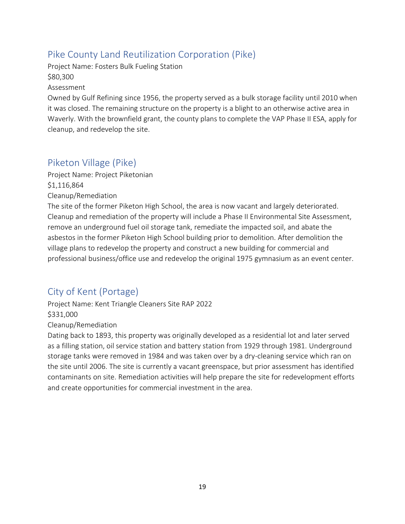### Pike County Land Reutilization Corporation (Pike)

Project Name: Fosters Bulk Fueling Station \$80,300

#### Assessment

Owned by Gulf Refining since 1956, the property served as a bulk storage facility until 2010 when it was closed. The remaining structure on the property is a blight to an otherwise active area in Waverly. With the brownfield grant, the county plans to complete the VAP Phase II ESA, apply for cleanup, and redevelop the site.

#### Piketon Village (Pike)

Project Name: Project Piketonian

\$1,116,864

Cleanup/Remediation

The site of the former Piketon High School, the area is now vacant and largely deteriorated. Cleanup and remediation of the property will include a Phase II Environmental Site Assessment, remove an underground fuel oil storage tank, remediate the impacted soil, and abate the asbestos in the former Piketon High School building prior to demolition. After demolition the village plans to redevelop the property and construct a new building for commercial and professional business/office use and redevelop the original 1975 gymnasium as an event center.

## City of Kent (Portage)

Project Name: Kent Triangle Cleaners Site RAP 2022 \$331,000

Cleanup/Remediation

Dating back to 1893, this property was originally developed as a residential lot and later served as a filling station, oil service station and battery station from 1929 through 1981. Underground storage tanks were removed in 1984 and was taken over by a dry-cleaning service which ran on the site until 2006. The site is currently a vacant greenspace, but prior assessment has identified contaminants on site. Remediation activities will help prepare the site for redevelopment efforts and create opportunities for commercial investment in the area.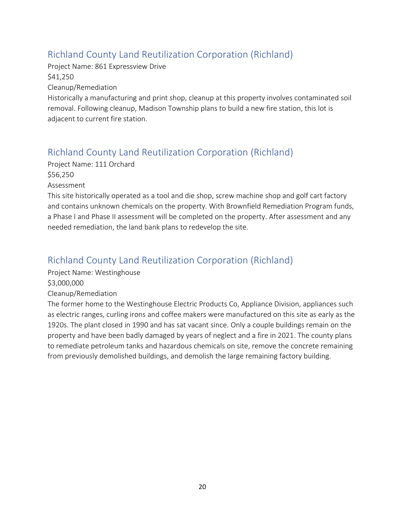### Richland County Land Reutilization Corporation (Richland)

Project Name: 861 Expressview Drive

\$41,250

Cleanup/Remediation

Historically a manufacturing and print shop, cleanup at this property involves contaminated soil removal. Following cleanup, Madison Township plans to build a new fire station, this lot is adjacent to current fire station.

#### Richland County Land Reutilization Corporation (Richland)

Project Name: 111 Orchard \$56,250

Assessment

This site historically operated as a tool and die shop, screw machine shop and golf cart factory and contains unknown chemicals on the property. With Brownfield Remediation Program funds, a Phase I and Phase II assessment will be completed on the property. After assessment and any needed remediation, the land bank plans to redevelop the site.

#### Richland County Land Reutilization Corporation (Richland)

Project Name: Westinghouse

\$3,000,000

#### Cleanup/Remediation

The former home to the Westinghouse Electric Products Co, Appliance Division, appliances such as electric ranges, curling irons and coffee makers were manufactured on this site as early as the 1920s. The plant closed in 1990 and has sat vacant since. Only a couple buildings remain on the property and have been badly damaged by years of neglect and a fire in 2021. The county plans to remediate petroleum tanks and hazardous chemicals on site, remove the concrete remaining from previously demolished buildings, and demolish the large remaining factory building.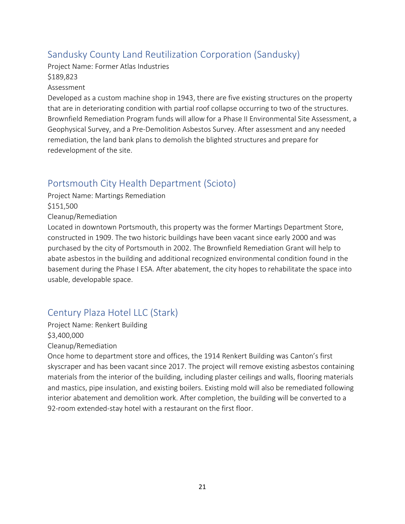### Sandusky County Land Reutilization Corporation (Sandusky)

Project Name: Former Atlas Industries

\$189,823

Assessment

Developed as a custom machine shop in 1943, there are five existing structures on the property that are in deteriorating condition with partial roof collapse occurring to two of the structures. Brownfield Remediation Program funds will allow for a Phase II Environmental Site Assessment, a Geophysical Survey, and a Pre-Demolition Asbestos Survey. After assessment and any needed remediation, the land bank plans to demolish the blighted structures and prepare for redevelopment of the site.

#### Portsmouth City Health Department (Scioto)

Project Name: Martings Remediation

#### \$151,500

Cleanup/Remediation

Located in downtown Portsmouth, this property was the former Martings Department Store, constructed in 1909. The two historic buildings have been vacant since early 2000 and was purchased by the city of Portsmouth in 2002. The Brownfield Remediation Grant will help to abate asbestos in the building and additional recognized environmental condition found in the basement during the Phase I ESA. After abatement, the city hopes to rehabilitate the space into usable, developable space.

## Century Plaza Hotel LLC (Stark)

Project Name: Renkert Building \$3,400,000 Cleanup/Remediation

Once home to department store and offices, the 1914 Renkert Building was Canton's first skyscraper and has been vacant since 2017. The project will remove existing asbestos containing materials from the interior of the building, including plaster ceilings and walls, flooring materials and mastics, pipe insulation, and existing boilers. Existing mold will also be remediated following interior abatement and demolition work. After completion, the building will be converted to a 92-room extended-stay hotel with a restaurant on the first floor.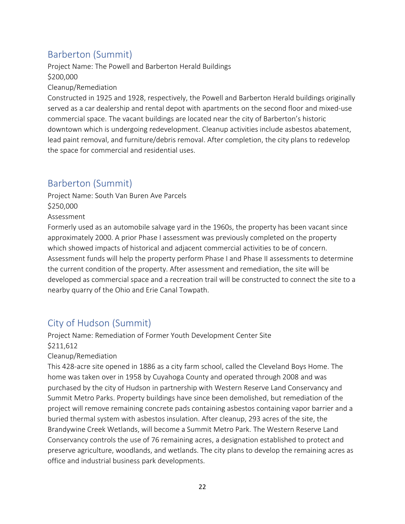### Barberton (Summit)

Project Name: The Powell and Barberton Herald Buildings \$200,000

#### Cleanup/Remediation

Constructed in 1925 and 1928, respectively, the Powell and Barberton Herald buildings originally served as a car dealership and rental depot with apartments on the second floor and mixed-use commercial space. The vacant buildings are located near the city of Barberton's historic downtown which is undergoing redevelopment. Cleanup activities include asbestos abatement, lead paint removal, and furniture/debris removal. After completion, the city plans to redevelop the space for commercial and residential uses.

#### Barberton (Summit)

Project Name: South Van Buren Ave Parcels

#### \$250,000

#### Assessment

Formerly used as an automobile salvage yard in the 1960s, the property has been vacant since approximately 2000. A prior Phase I assessment was previously completed on the property which showed impacts of historical and adjacent commercial activities to be of concern. Assessment funds will help the property perform Phase I and Phase II assessments to determine the current condition of the property. After assessment and remediation, the site will be developed as commercial space and a recreation trail will be constructed to connect the site to a nearby quarry of the Ohio and Erie Canal Towpath.

#### City of Hudson (Summit)

Project Name: Remediation of Former Youth Development Center Site \$211,612

#### Cleanup/Remediation

This 428-acre site opened in 1886 as a city farm school, called the Cleveland Boys Home. The home was taken over in 1958 by Cuyahoga County and operated through 2008 and was purchased by the city of Hudson in partnership with Western Reserve Land Conservancy and Summit Metro Parks. Property buildings have since been demolished, but remediation of the project will remove remaining concrete pads containing asbestos containing vapor barrier and a buried thermal system with asbestos insulation. After cleanup, 293 acres of the site, the Brandywine Creek Wetlands, will become a Summit Metro Park. The Western Reserve Land Conservancy controls the use of 76 remaining acres, a designation established to protect and preserve agriculture, woodlands, and wetlands. The city plans to develop the remaining acres as office and industrial business park developments.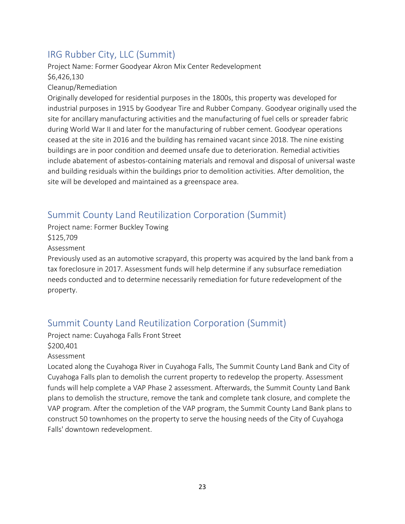#### IRG Rubber City, LLC (Summit)

Project Name: Former Goodyear Akron Mix Center Redevelopment \$6,426,130

#### Cleanup/Remediation

Originally developed for residential purposes in the 1800s, this property was developed for industrial purposes in 1915 by Goodyear Tire and Rubber Company. Goodyear originally used the site for ancillary manufacturing activities and the manufacturing of fuel cells or spreader fabric during World War II and later for the manufacturing of rubber cement. Goodyear operations ceased at the site in 2016 and the building has remained vacant since 2018. The nine existing buildings are in poor condition and deemed unsafe due to deterioration. Remedial activities include abatement of asbestos-containing materials and removal and disposal of universal waste and building residuals within the buildings prior to demolition activities. After demolition, the site will be developed and maintained as a greenspace area.

#### Summit County Land Reutilization Corporation (Summit)

Project name: Former Buckley Towing

\$125,709

Assessment

Previously used as an automotive scrapyard, this property was acquired by the land bank from a tax foreclosure in 2017. Assessment funds will help determine if any subsurface remediation needs conducted and to determine necessarily remediation for future redevelopment of the property.

## Summit County Land Reutilization Corporation (Summit)

Project name: Cuyahoga Falls Front Street \$200,401

#### Assessment

Located along the Cuyahoga River in Cuyahoga Falls, The Summit County Land Bank and City of Cuyahoga Falls plan to demolish the current property to redevelop the property. Assessment funds will help complete a VAP Phase 2 assessment. Afterwards, the Summit County Land Bank plans to demolish the structure, remove the tank and complete tank closure, and complete the VAP program. After the completion of the VAP program, the Summit County Land Bank plans to construct 50 townhomes on the property to serve the housing needs of the City of Cuyahoga Falls' downtown redevelopment.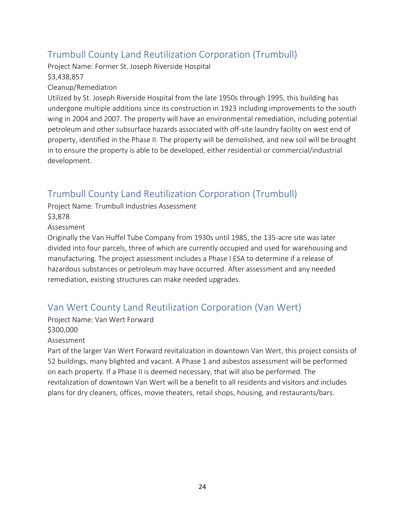## Trumbull County Land Reutilization Corporation (Trumbull)

Project Name: Former St. Joseph Riverside Hospital \$3,438,857

Cleanup/Remediation

Utilized by St. Joseph Riverside Hospital from the late 1950s through 1995, this building has undergone multiple additions since its construction in 1923 including improvements to the south wing in 2004 and 2007. The property will have an environmental remediation, including potential petroleum and other subsurface hazards associated with off-site laundry facility on west end of property, identified in the Phase II. The property will be demolished, and new soil will be brought in to ensure the property is able to be developed, either residential or commercial/industrial development.

# Trumbull County Land Reutilization Corporation (Trumbull)

Project Name: Trumbull Industries Assessment

\$3,878

Assessment

Originally the Van Huffel Tube Company from 1930s until 1985, the 135-acre site was later divided into four parcels, three of which are currently occupied and used for warehousing and manufacturing. The project assessment includes a Phase I ESA to determine if a release of hazardous substances or petroleum may have occurred. After assessment and any needed remediation, existing structures can make needed upgrades.

## Van Wert County Land Reutilization Corporation (Van Wert)

Project Name: Van Wert Forward \$300,000

Assessment

Part of the larger Van Wert Forward revitalization in downtown Van Wert, this project consists of 52 buildings, many blighted and vacant. A Phase 1 and asbestos assessment will be performed on each property. If a Phase II is deemed necessary, that will also be performed. The revitalization of downtown Van Wert will be a benefit to all residents and visitors and includes plans for dry cleaners, offices, movie theaters, retail shops, housing, and restaurants/bars.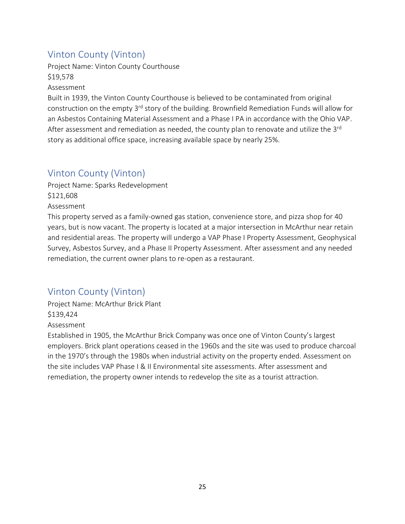### Vinton County (Vinton)

Project Name: Vinton County Courthouse \$19,578 Assessment

Built in 1939, the Vinton County Courthouse is believed to be contaminated from original construction on the empty 3rd story of the building. Brownfield Remediation Funds will allow for an Asbestos Containing Material Assessment and a Phase I PA in accordance with the Ohio VAP. After assessment and remediation as needed, the county plan to renovate and utilize the 3<sup>rd</sup> story as additional office space, increasing available space by nearly 25%.

#### Vinton County (Vinton)

Project Name: Sparks Redevelopment \$121,608

Assessment

This property served as a family-owned gas station, convenience store, and pizza shop for 40 years, but is now vacant. The property is located at a major intersection in McArthur near retain and residential areas. The property will undergo a VAP Phase I Property Assessment, Geophysical Survey, Asbestos Survey, and a Phase II Property Assessment. After assessment and any needed remediation, the current owner plans to re-open as a restaurant.

## Vinton County (Vinton)

Project Name: McArthur Brick Plant \$139,424 Assessment

Established in 1905, the McArthur Brick Company was once one of Vinton County's largest employers. Brick plant operations ceased in the 1960s and the site was used to produce charcoal in the 1970's through the 1980s when industrial activity on the property ended. Assessment on the site includes VAP Phase I & II Environmental site assessments. After assessment and remediation, the property owner intends to redevelop the site as a tourist attraction.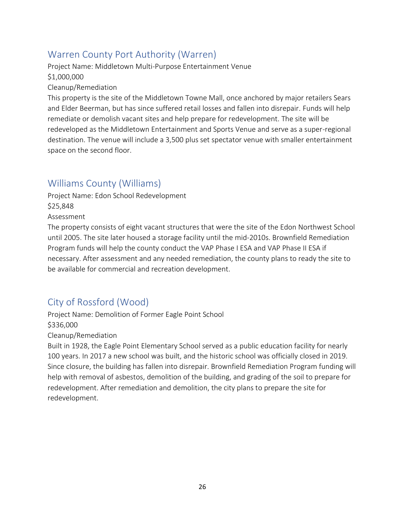#### Warren County Port Authority (Warren)

Project Name: Middletown Multi-Purpose Entertainment Venue \$1,000,000 Cleanup/Remediation

This property is the site of the Middletown Towne Mall, once anchored by major retailers Sears and Elder Beerman, but has since suffered retail losses and fallen into disrepair. Funds will help remediate or demolish vacant sites and help prepare for redevelopment. The site will be redeveloped as the Middletown Entertainment and Sports Venue and serve as a super-regional destination. The venue will include a 3,500 plus set spectator venue with smaller entertainment space on the second floor.

#### Williams County (Williams)

Project Name: Edon School Redevelopment

\$25,848

Assessment

The property consists of eight vacant structures that were the site of the Edon Northwest School until 2005. The site later housed a storage facility until the mid-2010s. Brownfield Remediation Program funds will help the county conduct the VAP Phase I ESA and VAP Phase II ESA if necessary. After assessment and any needed remediation, the county plans to ready the site to be available for commercial and recreation development.

# City of Rossford (Wood)

Project Name: Demolition of Former Eagle Point School \$336,000

Cleanup/Remediation

Built in 1928, the Eagle Point Elementary School served as a public education facility for nearly 100 years. In 2017 a new school was built, and the historic school was officially closed in 2019. Since closure, the building has fallen into disrepair. Brownfield Remediation Program funding will help with removal of asbestos, demolition of the building, and grading of the soil to prepare for redevelopment. After remediation and demolition, the city plans to prepare the site for redevelopment.